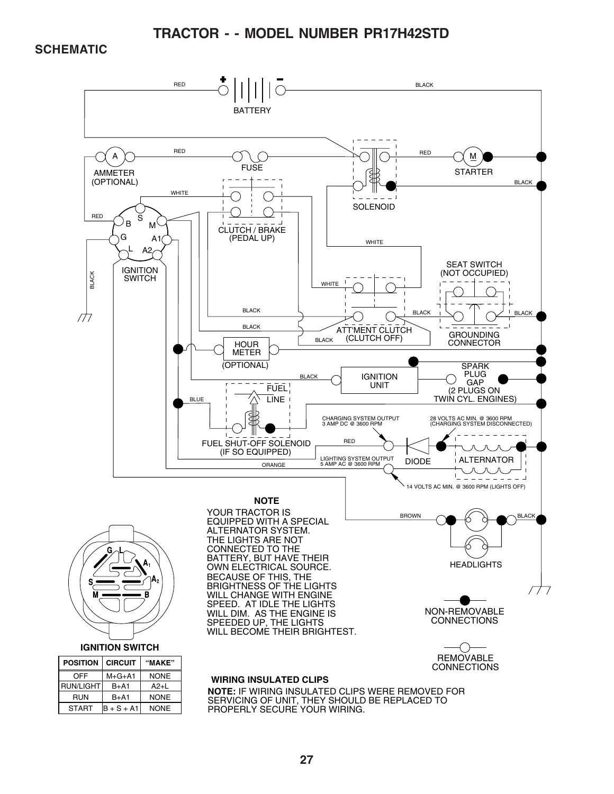**TRACTOR - - MODEL NUMBER PR17H42STD**

#### **SCHEMATIC**



PROPERLY SECURE YOUR WIRING.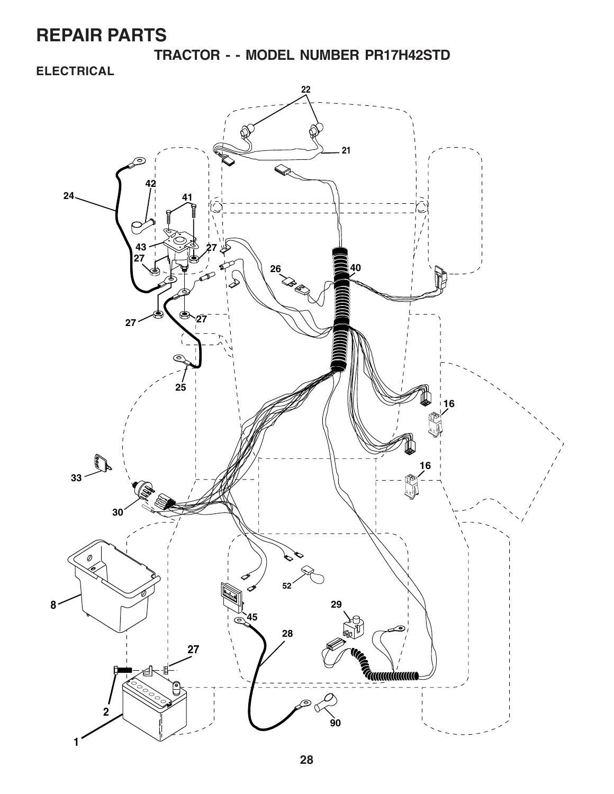**TRACTOR - - MODEL NUMBER PR17H42STD**

### **ELECTRICAL**

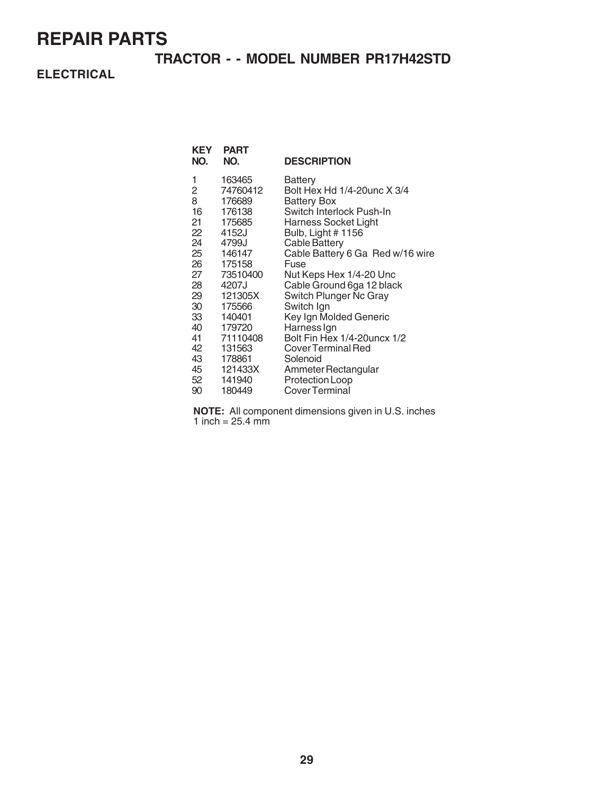### **TRACTOR - - MODEL NUMBER PR17H42STD**

**ELECTRICAL**

| 163465<br>1<br>Battery<br>2<br>74760412<br>Bolt Hex Hd 1/4-20unc X 3/4<br>8<br>176689<br><b>Battery Box</b><br>16<br>176138<br>Switch Interlock Push-In                                                                                                                                                                                                                                                                                                                                                                                                                                     | KEY<br>NO. | PART<br>NO. | <b>DESCRIPTION</b>                                       |
|---------------------------------------------------------------------------------------------------------------------------------------------------------------------------------------------------------------------------------------------------------------------------------------------------------------------------------------------------------------------------------------------------------------------------------------------------------------------------------------------------------------------------------------------------------------------------------------------|------------|-------------|----------------------------------------------------------|
| 22<br>4152J<br>Bulb, Light #1156<br>24<br><b>Cable Battery</b><br>4799J<br>25<br>146147<br>26<br>175158<br>Fuse<br>27<br>73510400<br>Nut Keps Hex 1/4-20 Unc<br>28<br>4207J<br>Cable Ground 6ga 12 black<br>29<br>Switch Plunger Nc Gray<br>121305X<br>30<br>175566<br>Switch Ign<br>33<br>140401<br>Key Ign Molded Generic<br>40<br>Harness Ign<br>179720<br>71110408<br>Bolt Fin Hex 1/4-20 uncx 1/2<br>41<br>42<br>131563<br>Cover Terminal Red<br>43<br>178861<br>Solenoid<br>45<br>121433X<br>Ammeter Rectangular<br>52<br>141940<br>Protection Loop<br>Cover Terminal<br>90<br>180449 | 21         | 175685      | Harness Socket Light<br>Cable Battery 6 Ga Red w/16 wire |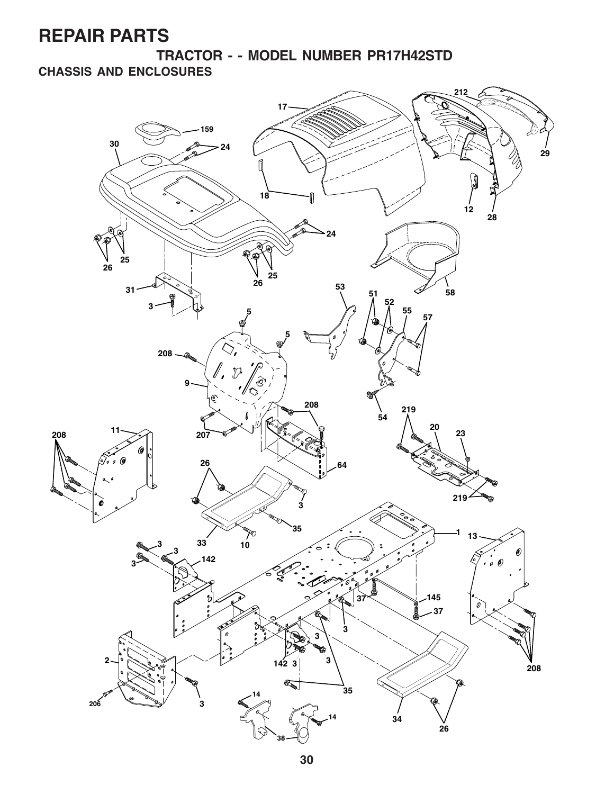**TRACTOR - - MODEL NUMBER PR17H42STD CHASSIS AND ENCLOSURES**

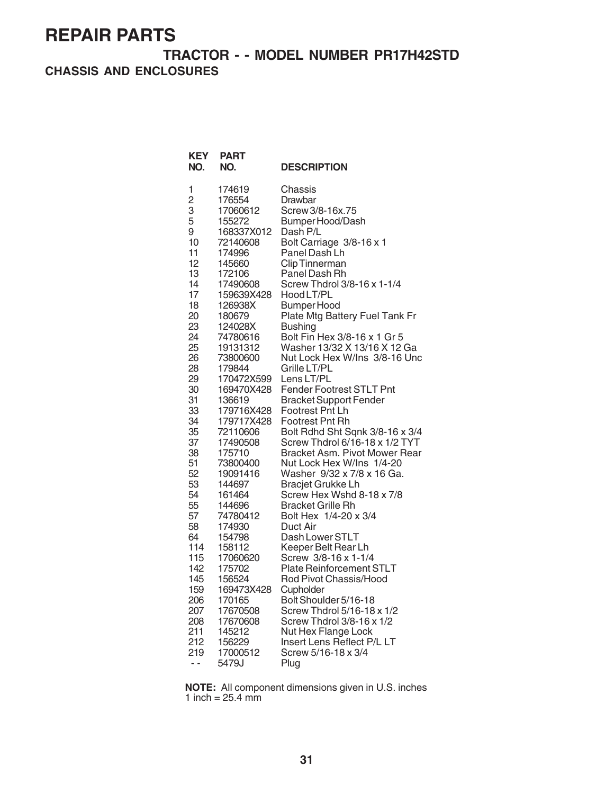**TRACTOR - - MODEL NUMBER PR17H42STD CHASSIS AND ENCLOSURES**

| <b>KEY</b><br>NO.                                                                                                                                                                                                                                                                                    | <b>PART</b><br>NO.                                                                                                                                                                                                                                                                                                                                                                                                                                                                                                                  | <b>DESCRIPTION</b>                                                                                                                                                                                                                                                                                                                                                                                                                                                                                                                                                                                                                                                                                                                                                                                                                                                                                                                                                                                                                                                                                                             |
|------------------------------------------------------------------------------------------------------------------------------------------------------------------------------------------------------------------------------------------------------------------------------------------------------|-------------------------------------------------------------------------------------------------------------------------------------------------------------------------------------------------------------------------------------------------------------------------------------------------------------------------------------------------------------------------------------------------------------------------------------------------------------------------------------------------------------------------------------|--------------------------------------------------------------------------------------------------------------------------------------------------------------------------------------------------------------------------------------------------------------------------------------------------------------------------------------------------------------------------------------------------------------------------------------------------------------------------------------------------------------------------------------------------------------------------------------------------------------------------------------------------------------------------------------------------------------------------------------------------------------------------------------------------------------------------------------------------------------------------------------------------------------------------------------------------------------------------------------------------------------------------------------------------------------------------------------------------------------------------------|
| 1<br>$\overline{c}$<br>3<br>5<br>9<br>10<br>11<br>12<br>13<br>14<br>17<br>18<br>20<br>23<br>24<br>25<br>26<br>28<br>29<br>30<br>31<br>33<br>34<br>35<br>37<br>38<br>51<br>52<br>53<br>54<br>55<br>57<br>58<br>64<br>114<br>115<br>142<br>145<br>159<br>206<br>207<br>208<br>211<br>212<br>219<br>- - | 174619<br>176554<br>17060612<br>155272<br>168337X012<br>72140608<br>174996<br>145660<br>172106<br>17490608<br>159639X428<br>126938X<br>180679<br>124028X<br>74780616<br>19131312<br>73800600<br>179844<br>170472X599<br>169470X428<br>136619<br>179716X428<br>179717X428<br>72110606<br>17490508<br>175710<br>73800400<br>19091416<br>144697<br>161464<br>144696<br>74780412<br>174930<br>154798<br>158112<br>17060620<br>175702<br>156524<br>169473X428<br>170165<br>17670508<br>17670608<br>145212<br>156229<br>17000512<br>5479J | Chassis<br>Drawbar<br>Screw 3/8-16x.75<br>Bumper Hood/Dash<br>Dash P/L<br>Bolt Carriage 3/8-16 x 1<br>Panel Dash Lh<br><b>Clip Tinnerman</b><br>Panel Dash Rh<br>Screw Thdrol 3/8-16 x 1-1/4<br>Hood LT/PL<br><b>Bumper Hood</b><br>Plate Mtg Battery Fuel Tank Fr<br><b>Bushing</b><br>Bolt Fin Hex 3/8-16 x 1 Gr 5<br>Washer 13/32 X 13/16 X 12 Ga<br>Nut Lock Hex W/Ins 3/8-16 Unc<br>Grille LT/PL<br>Lens LT/PL<br>Fender Footrest STLT Pnt<br><b>Bracket Support Fender</b><br>Footrest Pnt Lh<br>Footrest Pnt Rh<br>Bolt Rdhd Sht Sqnk 3/8-16 x 3/4<br>Screw Thdrol 6/16-18 x 1/2 TYT<br>Bracket Asm. Pivot Mower Rear<br>Nut Lock Hex W/Ins 1/4-20<br>Washer 9/32 x 7/8 x 16 Ga.<br><b>Bracjet Grukke Lh</b><br>Screw Hex Wshd 8-18 x 7/8<br><b>Bracket Grille Rh</b><br>Bolt Hex 1/4-20 x 3/4<br>Duct Air<br>Dash Lower STLT<br>Keeper Belt Rear Lh<br>Screw 3/8-16 x 1-1/4<br>Plate Reinforcement STLT<br>Rod Pivot Chassis/Hood<br>Cupholder<br>Bolt Shoulder 5/16-18<br>Screw Thdrol 5/16-18 x 1/2<br>Screw Thdrol 3/8-16 x 1/2<br>Nut Hex Flange Lock<br>Insert Lens Reflect P/L LT<br>Screw 5/16-18 x 3/4<br>Plug |
|                                                                                                                                                                                                                                                                                                      |                                                                                                                                                                                                                                                                                                                                                                                                                                                                                                                                     |                                                                                                                                                                                                                                                                                                                                                                                                                                                                                                                                                                                                                                                                                                                                                                                                                                                                                                                                                                                                                                                                                                                                |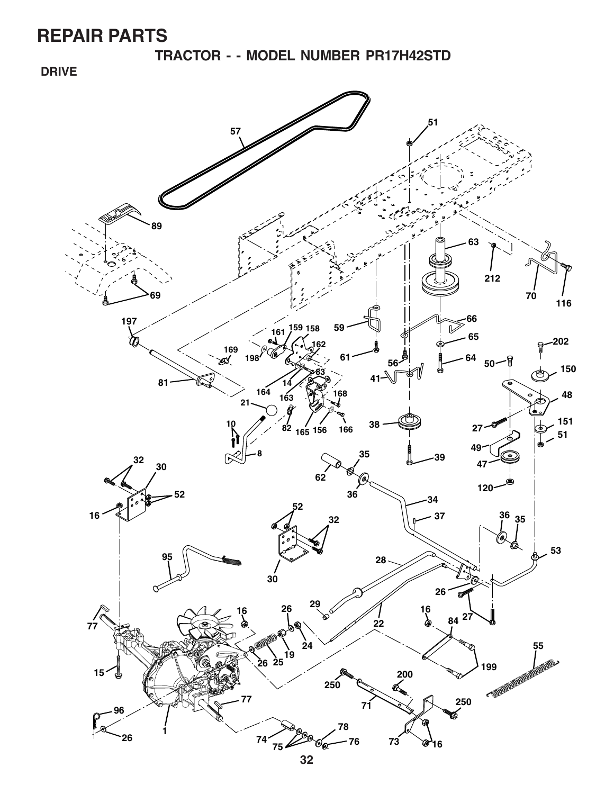**TRACTOR - - MODEL NUMBER PR17H42STD**

 **DRIVE**

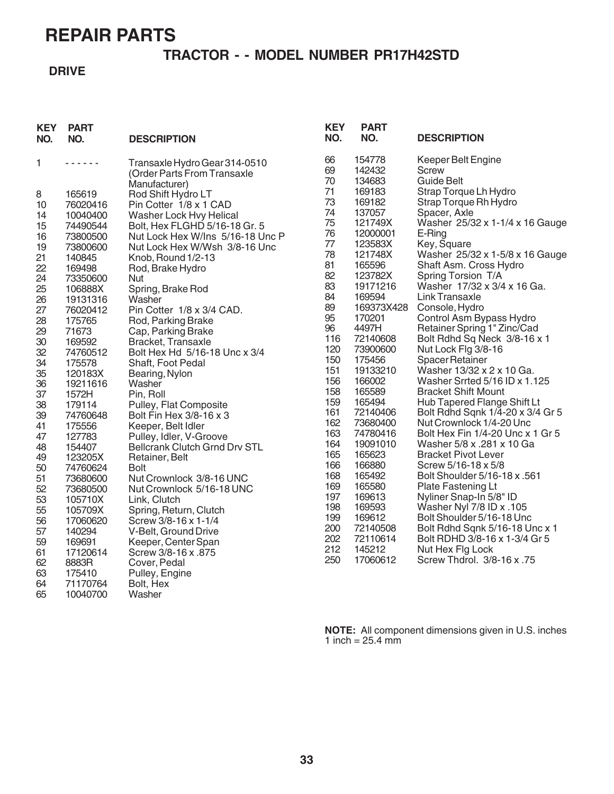### **TRACTOR - - MODEL NUMBER PR17H42STD**

#### **DRIVE**

|                                                                                                                                                                              | Keeper Belt Engine                                           |
|------------------------------------------------------------------------------------------------------------------------------------------------------------------------------|--------------------------------------------------------------|
| 154778<br>66<br>1<br>Transaxle Hydro Gear 314-0510<br>.<br>69<br>142432<br><b>Screw</b><br>(Order Parts From Transaxle<br>70<br>134683<br><b>Guide Belt</b><br>Manufacturer) |                                                              |
| 71<br>169183<br>165619<br>Rod Shift Hydro LT<br>8                                                                                                                            | Strap Torque Lh Hydro                                        |
| 73<br>169182<br>Pin Cotter 1/8 x 1 CAD<br>76020416<br>10                                                                                                                     | Strap Torque Rh Hydro                                        |
| 74<br>137057<br>10040400<br>Washer Lock Hvy Helical<br>14<br>75<br>121749X                                                                                                   | Spacer, Axle<br>Washer 25/32 x 1-1/4 x 16 Gauge              |
| 74490544<br>Bolt, Hex FLGHD 5/16-18 Gr. 5<br>15<br>76<br>12000001<br>E-Ring<br>73800500<br>Nut Lock Hex W/Ins 5/16-18 Unc P<br>16                                            |                                                              |
| Key, Square<br>77<br>123583X<br>19<br>73800600<br>Nut Lock Hex W/Wsh 3/8-16 Unc                                                                                              |                                                              |
| 78<br>121748X<br>21<br>140845<br>Knob, Round 1/2-13                                                                                                                          | Washer 25/32 x 1-5/8 x 16 Gauge                              |
| 81<br>165596<br>22<br>169498<br>Rod, Brake Hydro                                                                                                                             | Shaft Asm. Cross Hydro                                       |
| 82<br>123782X<br>24<br>73350600<br>Nut<br>83<br>19171216                                                                                                                     | Spring Torsion T/A<br>Washer 17/32 x 3/4 x 16 Ga.            |
| 25<br>106888X<br>Spring, Brake Rod<br>84<br>169594<br>26<br>Washer<br>19131316                                                                                               | Link Transaxle                                               |
| 89<br>169373X428<br>27<br>Pin Cotter 1/8 x 3/4 CAD.<br>76020412                                                                                                              | Console, Hydro                                               |
| 95<br>170201<br>28<br>175765<br>Rod, Parking Brake                                                                                                                           | Control Asm Bypass Hydro                                     |
| 96<br>4497H<br>71673<br>29<br>Cap, Parking Brake                                                                                                                             | Retainer Spring 1" Zinc/Cad                                  |
| 116<br>72140608<br>30<br>Bracket, Transaxle<br>169592<br>120<br>73900600                                                                                                     | Bolt Rdhd Sq Neck 3/8-16 x 1<br>Nut Lock Flg 3/8-16          |
| 32<br>Bolt Hex Hd 5/16-18 Unc x 3/4<br>74760512<br>150<br>175456                                                                                                             | Spacer Retainer                                              |
| 34<br>175578<br>Shaft, Foot Pedal<br>151<br>19133210<br>35<br>120183X<br>Bearing, Nylon                                                                                      | Washer 13/32 x 2 x 10 Ga.                                    |
| 156<br>166002<br>36<br>19211616<br>Washer                                                                                                                                    | Washer Srrted 5/16 ID x 1.125                                |
| 158<br>165589<br>37<br>1572H<br>Pin, Roll                                                                                                                                    | <b>Bracket Shift Mount</b>                                   |
| 159<br>165494<br>179114<br>Pulley, Flat Composite<br>38                                                                                                                      | Hub Tapered Flange Shift Lt                                  |
| 161<br>72140406<br>39<br>74760648<br>Bolt Fin Hex 3/8-16 x 3<br>162<br>73680400                                                                                              | Bolt Rdhd Sqnk 1/4-20 x 3/4 Gr 5<br>Nut Crownlock 1/4-20 Unc |
| 175556<br>41<br>Keeper, Belt Idler<br>163<br>74780416<br>127783<br>Pulley, Idler, V-Groove<br>47                                                                             | Bolt Hex Fin 1/4-20 Unc x 1 Gr 5                             |
| 19091010<br>164<br>154407<br>Bellcrank Clutch Grnd Drv STL<br>48                                                                                                             | Washer 5/8 x .281 x 10 Ga                                    |
| 165<br>165623<br>123205X<br>49<br>Retainer, Belt                                                                                                                             | <b>Bracket Pivot Lever</b>                                   |
| 166880<br>166<br>50<br>74760624<br><b>Bolt</b>                                                                                                                               | Screw 5/16-18 x 5/8                                          |
| 165492<br>168<br>51<br>73680600<br>Nut Crownlock 3/8-16 UNC<br>169<br>165580                                                                                                 | Bolt Shoulder 5/16-18 x .561<br>Plate Fastening Lt           |
| 52<br>Nut Crownlock 5/16-18 UNC<br>73680500<br>169613<br>197                                                                                                                 | Nyliner Snap-In 5/8" ID                                      |
| 53<br>105710X<br>Link, Clutch<br>198<br>169593<br>55<br>105709X<br>Spring, Return, Clutch                                                                                    | Washer Nyl 7/8 ID x .105                                     |
| 199<br>169612<br>56<br>17060620<br>Screw 3/8-16 x 1-1/4                                                                                                                      | Bolt Shoulder 5/16-18 Unc                                    |
| 200<br>72140508<br>57<br>140294<br>V-Belt, Ground Drive                                                                                                                      | Bolt Rdhd Sqnk 5/16-18 Unc x 1                               |
| 202<br>72110614<br>59<br>169691<br>Keeper, Center Span<br>212<br>145212                                                                                                      | Bolt RDHD 3/8-16 x 1-3/4 Gr 5                                |
| Screw 3/8-16 x .875<br>61<br>17120614<br>250<br>17060612                                                                                                                     | Nut Hex Flg Lock<br>Screw Thdrol. 3/8-16 x .75               |
| 8883R<br>62<br>Cover, Pedal<br>63<br>175410<br>Pulley, Engine                                                                                                                |                                                              |
| Bolt, Hex<br>64<br>71170764                                                                                                                                                  |                                                              |
| Washer<br>65<br>10040700                                                                                                                                                     |                                                              |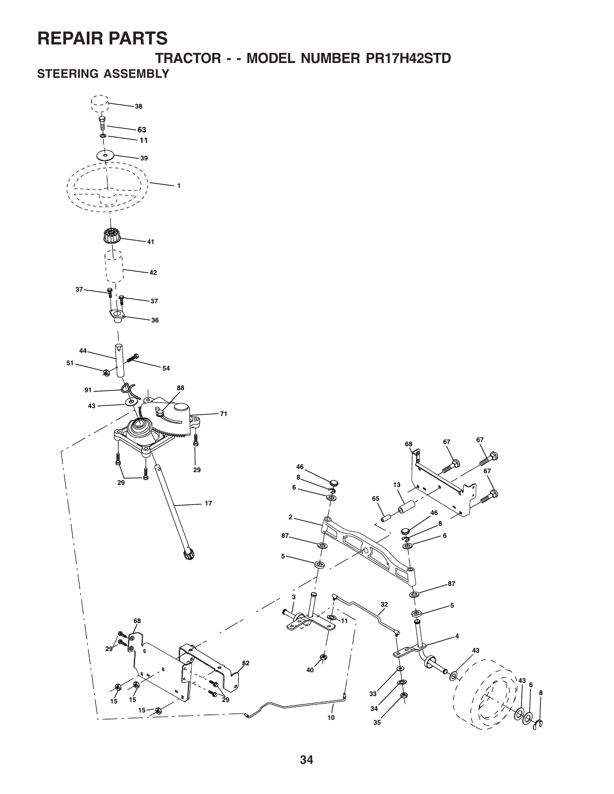**TRACTOR - - MODEL NUMBER PR17H42STD STEERING ASSEMBLY**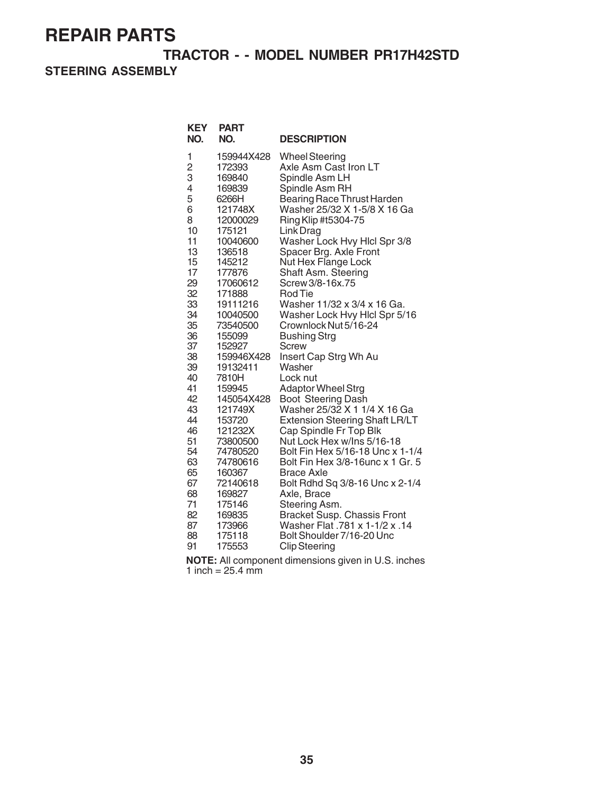### **TRACTOR - - MODEL NUMBER PR17H42STD**

**STEERING ASSEMBLY**

| <b>KEY</b><br>NO. | <b>PART</b><br>NO. | <b>DESCRIPTION</b>                    |
|-------------------|--------------------|---------------------------------------|
| 1                 | 159944X428         | <b>Wheel Steering</b>                 |
| $\overline{c}$    | 172393             | Axle Asm Cast Iron LT                 |
| 3                 | 169840             | Spindle Asm LH                        |
| 4                 | 169839             | Spindle Asm RH                        |
| 5                 | 6266H              | Bearing Race Thrust Harden            |
| 6                 | 121748X            | Washer 25/32 X 1-5/8 X 16 Ga          |
| 8                 | 12000029           | Ring Klip #t5304-75                   |
| 10                | 175121             | Link Drag                             |
| 11                | 10040600           | Washer Lock Hvy Hlcl Spr 3/8          |
| 13                | 136518             | Spacer Brg. Axle Front                |
| 15                | 145212             | Nut Hex Flange Lock                   |
| 17                | 177876             | Shaft Asm. Steering                   |
| 29                | 17060612           | Screw 3/8-16x.75                      |
| 32                | 171888             | <b>Rod Tie</b>                        |
| 33                | 19111216           | Washer 11/32 x 3/4 x 16 Ga.           |
| 34                | 10040500           | Washer Lock Hvy Hlcl Spr 5/16         |
| 35                | 73540500           | Crownlock Nut 5/16-24                 |
| 36                | 155099             | <b>Bushing Strg</b>                   |
| 37                | 152927             | Screw                                 |
| 38                | 159946X428         | Insert Cap Strg Wh Au                 |
| 39                | 19132411           | Washer                                |
| 40                | 7810H              | Lock nut                              |
| 41                | 159945             | <b>Adaptor Wheel Strg</b>             |
| 42                | 145054X428         | Boot Steering Dash                    |
| 43                | 121749X            | Washer 25/32 X 1 1/4 X 16 Ga          |
| 44                | 153720             | <b>Extension Steering Shaft LR/LT</b> |
| 46                | 121232X            | Cap Spindle Fr Top Blk                |
| 51                | 73800500           | Nut Lock Hex w/Ins 5/16-18            |
| 54                | 74780520           | Bolt Fin Hex 5/16-18 Unc x 1-1/4      |
| 63                | 74780616           | Bolt Fin Hex 3/8-16unc x 1 Gr. 5      |
| 65                | 160367             | <b>Brace Axle</b>                     |
| 67                | 72140618           | Bolt Rdhd Sq 3/8-16 Unc x 2-1/4       |
| 68                | 169827             | Axle, Brace                           |
| 71                | 175146             | Steering Asm.                         |
| 82                | 169835             | Bracket Susp. Chassis Front           |
| 87                | 173966             | 14. Washer Flat .781 x 1-1/2 x .14    |
| 88                | 175118             | Bolt Shoulder 7/16-20 Unc             |
| 91                | 175553             | <b>Clip Steering</b>                  |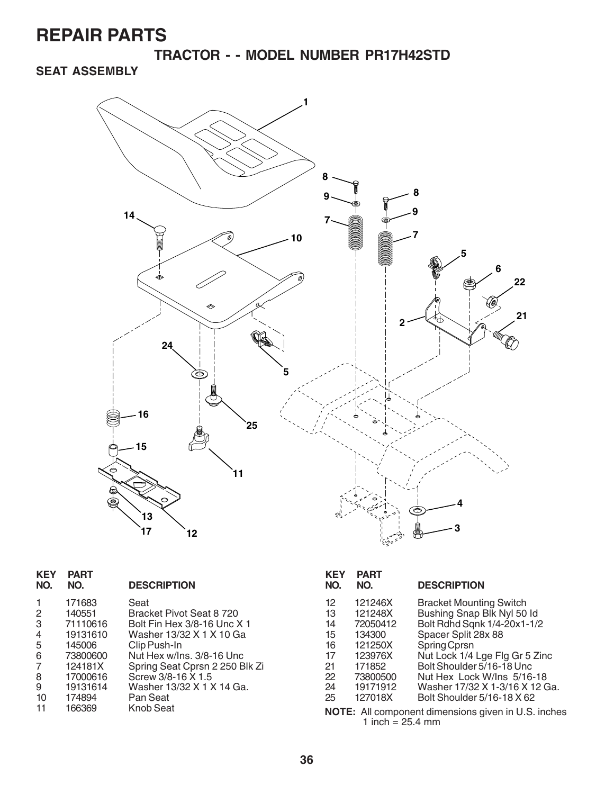**TRACTOR - - MODEL NUMBER PR17H42STD**

### **SEAT ASSEMBLY**



| <b>KEY</b><br>NO. | <b>PART</b><br>NO. | <b>DESCRIPTION</b>             | <b>KEY</b><br>NO. | <b>PART</b><br>NO. | <b>DESCRIPTION</b>                                 |
|-------------------|--------------------|--------------------------------|-------------------|--------------------|----------------------------------------------------|
| 1.                | 171683             | Seat                           | 12                | 121246X            | <b>Bracket Mounting Switch</b>                     |
| 2                 | 140551             | Bracket Pivot Seat 8 720       | 13                | 121248X            | Bushing Snap Blk Nyl 50 ld                         |
| 3                 | 71110616           | Bolt Fin Hex 3/8-16 Unc X 1    | 14                | 72050412           | Bolt Rdhd Sqnk 1/4-20x1-1/2                        |
| 4                 | 19131610           | Washer 13/32 X 1 X 10 Ga       | 15                | 134300             | Spacer Split 28x 88                                |
| 5.                | 145006             | Clip Push-In                   | 16                | 121250X            | Spring Cprsn                                       |
| 6                 | 73800600           | Nut Hex w/Ins. 3/8-16 Unc      | 17                | 123976X            | Nut Lock 1/4 Lge Flg Gr 5 Zinc                     |
|                   | 124181X            | Spring Seat Cprsn 2 250 Blk Zi | 21                | 171852             | Bolt Shoulder 5/16-18 Unc                          |
| 8                 | 17000616           | Screw 3/8-16 X 1.5             | 22                | 73800500           | Nut Hex Lock W/Ins 5/16-18                         |
| 9                 | 19131614           | Washer 13/32 X 1 X 14 Ga.      | 24                | 19171912           | Washer 17/32 X 1-3/16 X 12 Ga.                     |
| 10                | 174894             | Pan Seat                       | 25                | 127018X            | Bolt Shoulder 5/16-18 X 62                         |
| 11                | 166369             | Knob Seat                      |                   | 1 inch = $25.4$ mm | NOTE: All component dimensions given in U.S. inche |

inches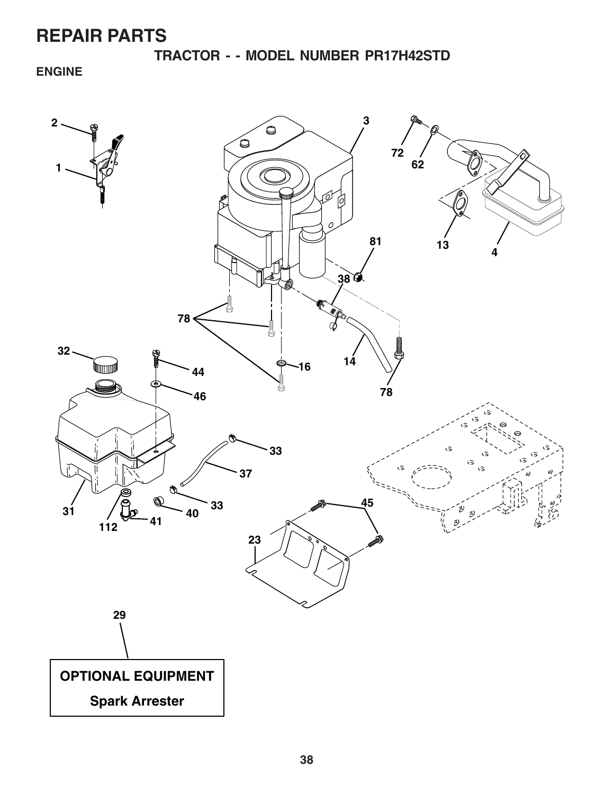**TRACTOR - - MODEL NUMBER PR17H42STD**

**ENGINE**

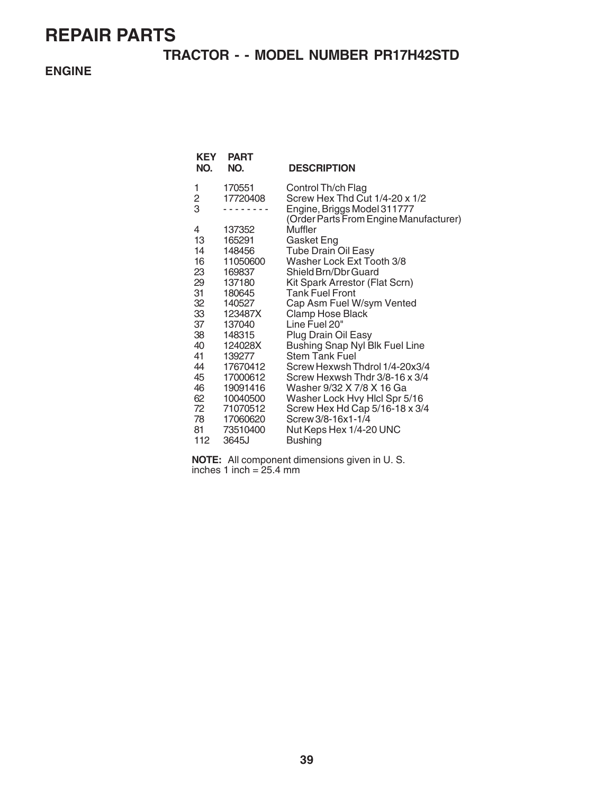### **TRACTOR - - MODEL NUMBER PR17H42STD**

**ENGINE**

| <b>KEY</b><br>NO. | <b>PART</b><br>NO. | <b>DESCRIPTION</b>                                                    |
|-------------------|--------------------|-----------------------------------------------------------------------|
| 1                 | 170551             | Control Th/ch Flag                                                    |
| 2<br>3            | 17720408           | Screw Hex Thd Cut 1/4-20 x 1/2                                        |
|                   |                    | Engine, Briggs Model 311777<br>(Order Parts From Engine Manufacturer) |
| 4                 | 137352             | Muffler                                                               |
| 13                | 165291             | Gasket Eng                                                            |
| 14                | 148456             | <b>Tube Drain Oil Easy</b>                                            |
| 16                | 11050600           | Washer Lock Ext Tooth 3/8                                             |
| 23                | 169837             | Shield Brn/Dbr Guard                                                  |
| 29                | 137180             | Kit Spark Arrestor (Flat Scrn)                                        |
| 31                | 180645             | <b>Tank Fuel Front</b>                                                |
| 32                | 140527             | Cap Asm Fuel W/sym Vented                                             |
| 33                | 123487X            | Clamp Hose Black                                                      |
| 37                | 137040             | Line Fuel 20"                                                         |
| 38                | 148315             | Plug Drain Oil Easy                                                   |
| 40<br>41          | 124028X<br>139277  | Bushing Snap Nyl Blk Fuel Line<br><b>Stem Tank Fuel</b>               |
| 44                | 17670412           | Screw Hexwsh Thdrol 1/4-20x3/4                                        |
| 45                | 17000612           | Screw Hexwsh Thdr 3/8-16 x 3/4                                        |
| 46                | 19091416           | Washer 9/32 X 7/8 X 16 Ga                                             |
| 62                | 10040500           | Washer Lock Hvy Hicl Spr 5/16                                         |
| 72                | 71070512           | Screw Hex Hd Cap 5/16-18 x 3/4                                        |
| 78 —              | 17060620           | Screw 3/8-16x1-1/4                                                    |
| 81                | 73510400           | Nut Keps Hex 1/4-20 UNC                                               |
| 112               | 3645J              | <b>Bushing</b>                                                        |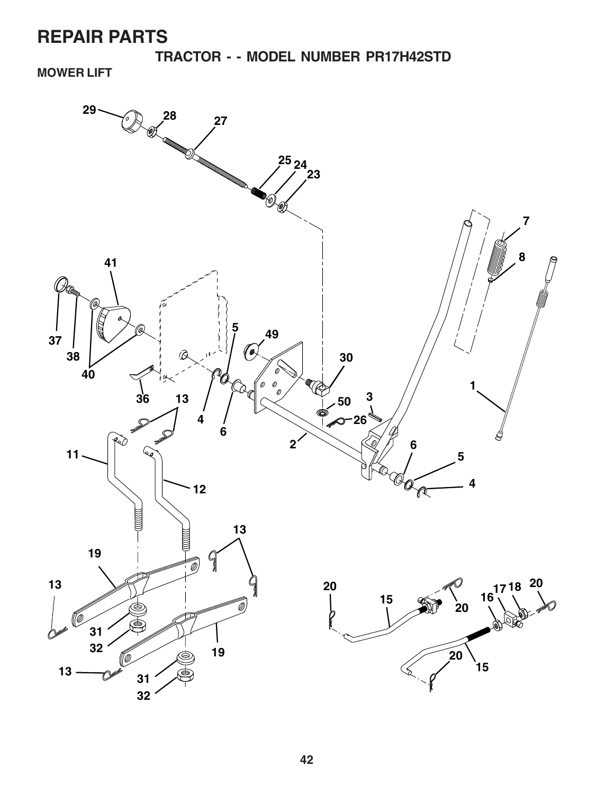**TRACTOR - - MODEL NUMBER PR17H42STD**

**MOWER LIFT**

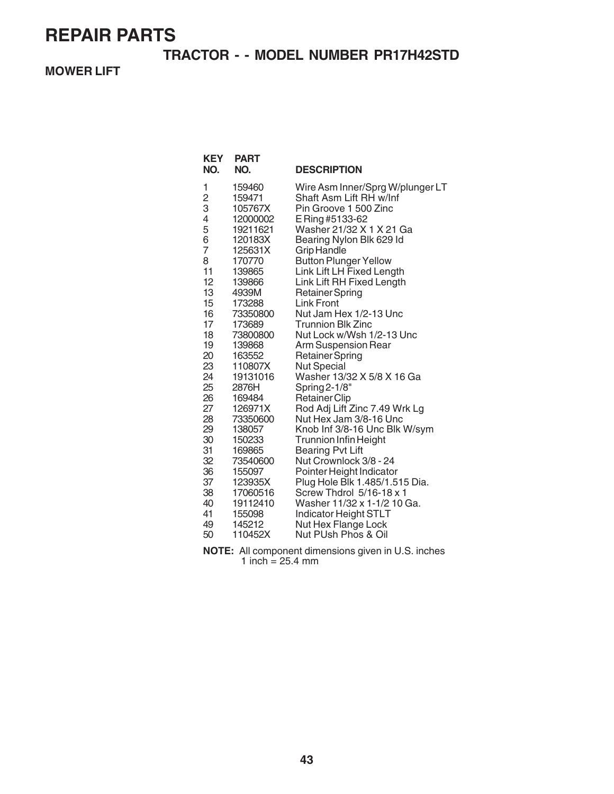### **TRACTOR - - MODEL NUMBER PR17H42STD**

**MOWER LIFT**

| <b>KEY</b><br>NO. | <b>PART</b><br>NO.   | <b>DESCRIPTION</b>                                         |
|-------------------|----------------------|------------------------------------------------------------|
| 1                 | 159460               | Wire Asm Inner/Sprg W/plunger LT                           |
| $\frac{2}{3}$     | 159471               | Shaft Asm Lift RH w/Inf                                    |
|                   | 105767X              | Pin Groove 1 500 Zinc                                      |
| 4                 | 12000002             | E Ring #5133-62                                            |
| 5                 | 19211621             | Washer 21/32 X 1 X 21 Ga                                   |
| 6                 | 120183X              | Bearing Nylon Blk 629 Id                                   |
| $\overline{7}$    | 125631X              | Grip Handle                                                |
| 8                 | 170770               | <b>Button Plunger Yellow</b>                               |
| 11<br>12          | 139865               | Link Lift LH Fixed Length                                  |
| 13                | 139866<br>4939M      | Link Lift RH Fixed Length<br><b>Retainer Spring</b>        |
| 15                | 173288               | <b>Link Front</b>                                          |
| 16                | 73350800             | Nut Jam Hex 1/2-13 Unc                                     |
| 17                | 173689               | <b>Trunnion Blk Zinc</b>                                   |
| 18                | 73800800             | Nut Lock w/Wsh 1/2-13 Unc                                  |
| 19                | 139868               | Arm Suspension Rear                                        |
| 20                | 163552               | <b>Retainer Spring</b>                                     |
| 23                | 110807X              | <b>Nut Special</b>                                         |
| 24                | 19131016             | Washer 13/32 X 5/8 X 16 Ga                                 |
| 25                | 2876H                | Spring 2-1/8"                                              |
| 26                | 169484               | <b>Retainer Clip</b>                                       |
| 27                | 126971X              | Rod Adj Lift Zinc 7.49 Wrk Lg                              |
| 28                | 73350600             | Nut Hex Jam 3/8-16 Unc                                     |
| 29                | 138057               | Knob Inf 3/8-16 Unc Blk W/sym                              |
| 30                | 150233               | <b>Trunnion Infin Height</b>                               |
| 31                | 169865               | <b>Bearing Pvt Lift</b>                                    |
| 32                | 73540600             | Nut Crownlock 3/8 - 24                                     |
| 36                | 155097               | Pointer Height Indicator                                   |
| 37                | 123935X              | Plug Hole Blk 1.485/1.515 Dia.<br>Screw Thdrol 5/16-18 x 1 |
| 38<br>40          | 17060516<br>19112410 | Washer 11/32 x 1-1/2 10 Ga.                                |
| 41                | 155098               |                                                            |
| 49                | 145212               | Indicator Height STLT<br>Nut Hex Flange Lock               |
| 50                | 110452X              | Nut PUsh Phos & Oil                                        |
|                   |                      |                                                            |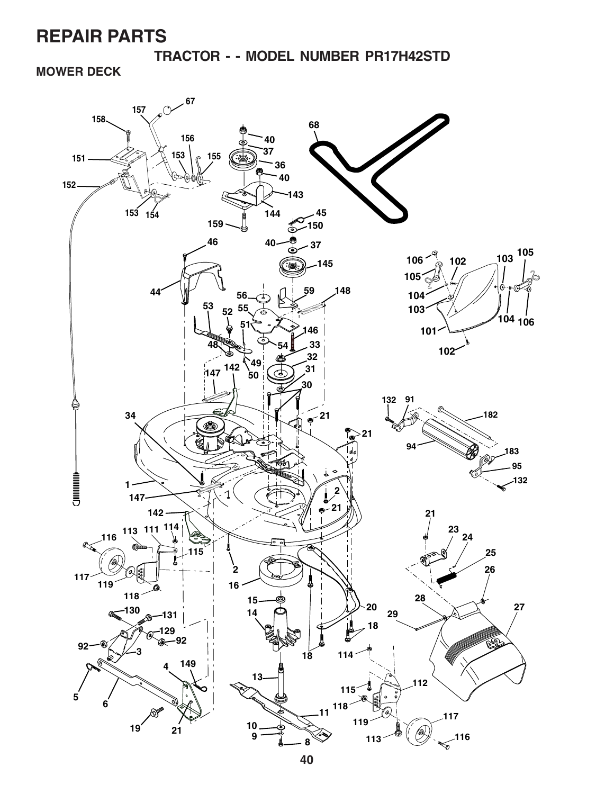**TRACTOR - - MODEL NUMBER PR17H42STD**

**MOWER DECK**

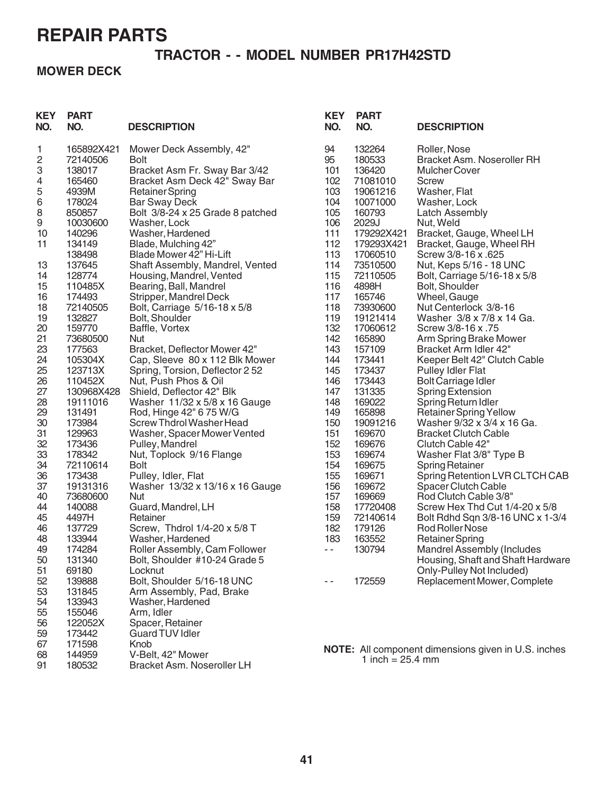### **TRACTOR - - MODEL NUMBER PR17H42STD**

### **MOWER DECK**

| <b>KEY</b><br>NO.       | <b>PART</b><br>NO. | <b>DESCRIPTION</b>                      | <b>KEY</b><br>NO. | <b>PART</b><br>NO.  | <b>DESCRIPTION</b>                                         |
|-------------------------|--------------------|-----------------------------------------|-------------------|---------------------|------------------------------------------------------------|
| 1                       | 165892X421         | Mower Deck Assembly, 42"                | 94                | 132264              | Roller, Nose                                               |
| $\overline{\mathbf{c}}$ | 72140506           | <b>Bolt</b>                             | 95                | 180533              | Bracket Asm. Noseroller RH                                 |
| 3                       | 138017             | Bracket Asm Fr. Sway Bar 3/42           | 101               | 136420              | <b>Mulcher Cover</b>                                       |
| 4                       | 165460             | Bracket Asm Deck 42" Sway Bar           | 102               | 71081010            | Screw                                                      |
| 5                       | 4939M              | <b>Retainer Spring</b>                  | 103               | 19061216            | Washer, Flat                                               |
| $\,6$                   | 178024             | <b>Bar Sway Deck</b>                    | 104               | 10071000            | Washer, Lock                                               |
| 8<br>$\boldsymbol{9}$   | 850857<br>10030600 | Bolt 3/8-24 x 25 Grade 8 patched        | 105<br>106        | 160793              | <b>Latch Assembly</b>                                      |
| 10                      | 140296             | Washer, Lock<br>Washer, Hardened        | 111               | 2029J<br>179292X421 | Nut, Weld<br>Bracket, Gauge, Wheel LH                      |
| 11                      | 134149             | Blade, Mulching 42"                     | 112               | 179293X421          | Bracket, Gauge, Wheel RH                                   |
|                         | 138498             | Blade Mower 42" Hi-Lift                 | 113               | 17060510            | Screw 3/8-16 x .625                                        |
| 13                      | 137645             | Shaft Assembly, Mandrel, Vented         | 114               | 73510500            | Nut, Keps 5/16 - 18 UNC                                    |
| 14                      | 128774             | Housing, Mandrel, Vented                | 115               | 72110505            | Bolt, Carriage 5/16-18 x 5/8                               |
| 15                      | 110485X            | Bearing, Ball, Mandrel                  | 116               | 4898H               | Bolt, Shoulder                                             |
| 16                      | 174493             | Stripper, Mandrel Deck                  | 117               | 165746              | Wheel, Gauge                                               |
| 18                      | 72140505           | Bolt, Carriage 5/16-18 x 5/8            | 118               | 73930600            | Nut Centerlock 3/8-16                                      |
| 19                      | 132827             | Bolt, Shoulder                          | 119               | 19121414            | Washer 3/8 x 7/8 x 14 Ga.                                  |
| 20                      | 159770             | Baffle, Vortex                          | 132               | 17060612            | Screw 3/8-16 x .75                                         |
| 21                      | 73680500           | Nut                                     | 142               | 165890              | Arm Spring Brake Mower                                     |
| 23                      | 177563             | Bracket, Deflector Mower 42"            | 143               | 157109              | Bracket Arm Idler 42"                                      |
| 24                      | 105304X            | Cap, Sleeve 80 x 112 Blk Mower          | 144               | 173441              | Keeper Belt 42" Clutch Cable                               |
| 25                      | 123713X            | Spring, Torsion, Deflector 2 52         | 145               | 173437              | <b>Pulley Idler Flat</b>                                   |
| 26                      | 110452X            | Nut, Push Phos & Oil                    | 146               | 173443              | <b>Bolt Carriage Idler</b>                                 |
| 27                      | 130968X428         | Shield, Deflector 42" Blk               | 147               | 131335              | <b>Spring Extension</b>                                    |
| 28                      | 19111016           | Washer 11/32 x 5/8 x 16 Gauge           | 148               | 169022              | Spring Return Idler                                        |
| 29                      | 131491             | Rod, Hinge 42" 6 75 W/G                 | 149               | 165898              | <b>Retainer Spring Yellow</b>                              |
| 30                      | 173984             | Screw Thdrol Washer Head                | 150               | 19091216            | Washer 9/32 x 3/4 x 16 Ga.                                 |
| 31                      | 129963             | Washer, Spacer Mower Vented             | 151               | 169670              | <b>Bracket Clutch Cable</b>                                |
| 32                      | 173436             | Pulley, Mandrel                         | 152               | 169676              | Clutch Cable 42"                                           |
| 33<br>34                | 178342<br>72110614 | Nut, Toplock 9/16 Flange<br><b>Bolt</b> | 153<br>154        | 169674<br>169675    | Washer Flat 3/8" Type B                                    |
| 36                      | 173438             | Pulley, Idler, Flat                     | 155               | 169671              | <b>Spring Retainer</b><br>Spring Retention LVR CLTCH CAB   |
| 37                      | 19131316           | Washer 13/32 x 13/16 x 16 Gauge         | 156               | 169672              | <b>Spacer Clutch Cable</b>                                 |
| 40                      | 73680600           | Nut                                     | 157               | 169669              | Rod Clutch Cable 3/8"                                      |
| 44                      | 140088             | Guard, Mandrel, LH                      | 158               | 17720408            | Screw Hex Thd Cut 1/4-20 x 5/8                             |
| 45                      | 4497H              | Retainer                                | 159               | 72140614            | Bolt Rdhd Sqn 3/8-16 UNC x 1-3/4                           |
| 46                      | 137729             | Screw, Thdrol 1/4-20 x 5/8 T            | 182               | 179126              | Rod Roller Nose                                            |
| 48                      | 133944             | Washer, Hardened                        | 183               | 163552              | <b>Retainer Spring</b>                                     |
| 49                      | 174284             | Roller Assembly, Cam Follower           | $\sim$ $\sim$     | 130794              | <b>Mandrel Assembly (Includes</b>                          |
| 50                      | 131340             | Bolt, Shoulder #10-24 Grade 5           |                   |                     | Housing, Shaft and Shaft Hardware                          |
| 51                      | 69180              | Locknut                                 |                   |                     | Only-Pulley Not Included)                                  |
| 52                      | 139888             | Bolt, Shoulder 5/16-18 UNC              | - -               | 172559              | Replacement Mower, Complete                                |
| 53                      | 131845             | Arm Assembly, Pad, Brake                |                   |                     |                                                            |
| 54                      | 133943             | Washer, Hardened                        |                   |                     |                                                            |
| 55                      | 155046             | Arm, Idler                              |                   |                     |                                                            |
| 56                      | 122052X            | Spacer, Retainer                        |                   |                     |                                                            |
| 59                      | 173442             | Guard TUV Idler                         |                   |                     |                                                            |
| 67                      | 171598             | Knob                                    |                   |                     | <b>NOTE:</b> All component dimensions given in U.S. inches |
| 68                      | 144959             | V-Belt, 42" Mower                       |                   | 1 inch = $25.4$ mm  |                                                            |
| 91                      | 180532             | Bracket Asm. Noseroller LH              |                   |                     |                                                            |